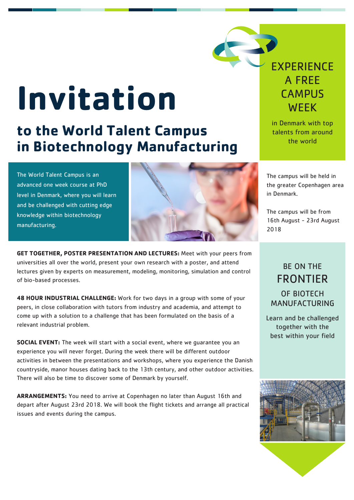## **Invitation**

## **to the World Talent Campus in Biotechnology Manufacturing**

The World Talent Campus is an advanced one week course at PhD level in Denmark, where you will learn and be challenged with cutting edge knowledge within biotechnology manufacturing.



**GET TOGETHER, POSTER PRESENTATION AND LECTURES:** Meet with your peers from universities all over the world, present your own research with a poster, and attend lectures given by experts on measurement, modeling, monitoring, simulation and control of bio-based processes.

**48 HOUR INDUSTRIAL CHALLENGE:** Work for two days in a group with some of your peers, in close collaboration with tutors from industry and academia, and attempt to come up with a solution to a challenge that has been formulated on the basis of a relevant industrial problem.

**SOCIAL EVENT:** The week will start with a social event, where we guarantee you an experience you will never forget. During the week there will be different outdoor activities in between the presentations and workshops, where you experience the Danish countryside, manor houses dating back to the 13th century, and other outdoor activities. There will also be time to discover some of Denmark by yourself.

**ARRANGEMENTS:** You need to arrive at Copenhagen no later than August 16th and depart after August 23rd 2018. We will book the flight tickets and arrange all practical issues and events during the campus.

## **EXPERIENCE** A FREE **CAMPUS WEEK**

in Denmark with top talents from around the world

The campus will be held in the greater Copenhagen area in Denmark.

The campus will be from 16th August - 23rd August 2018

## BE ON THE FRONTIER OF BIOTECH MANUFACTURING

Learn and be challenged together with the best within your field